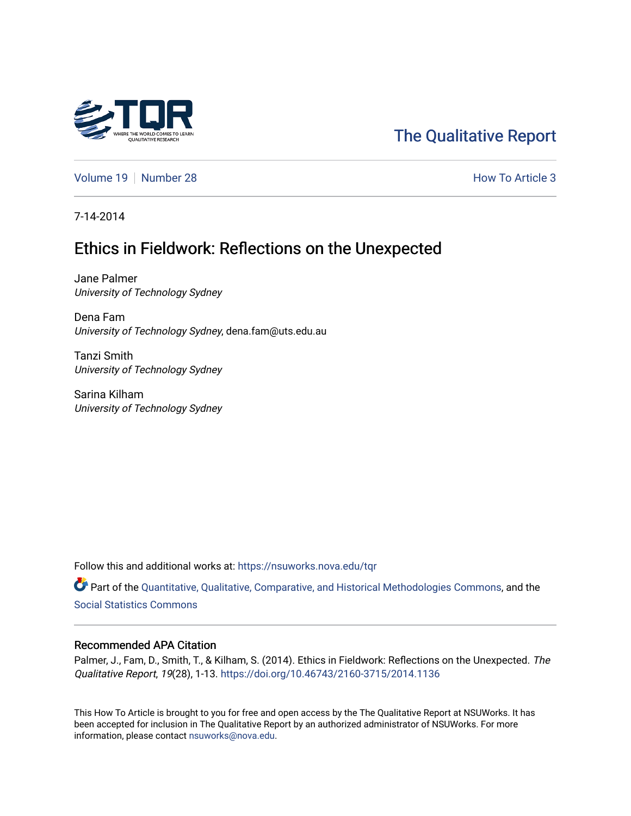

# [The Qualitative Report](https://nsuworks.nova.edu/tqr)

[Volume 19](https://nsuworks.nova.edu/tqr/vol19) [Number 28](https://nsuworks.nova.edu/tqr/vol19/iss28) **How To Article 3** How To Article 3

7-14-2014

# Ethics in Fieldwork: Reflections on the Unexpected

Jane Palmer University of Technology Sydney

Dena Fam University of Technology Sydney, dena.fam@uts.edu.au

Tanzi Smith University of Technology Sydney

Sarina Kilham University of Technology Sydney

Follow this and additional works at: [https://nsuworks.nova.edu/tqr](https://nsuworks.nova.edu/tqr?utm_source=nsuworks.nova.edu%2Ftqr%2Fvol19%2Fiss28%2F3&utm_medium=PDF&utm_campaign=PDFCoverPages) 

Part of the [Quantitative, Qualitative, Comparative, and Historical Methodologies Commons,](http://network.bepress.com/hgg/discipline/423?utm_source=nsuworks.nova.edu%2Ftqr%2Fvol19%2Fiss28%2F3&utm_medium=PDF&utm_campaign=PDFCoverPages) and the [Social Statistics Commons](http://network.bepress.com/hgg/discipline/1275?utm_source=nsuworks.nova.edu%2Ftqr%2Fvol19%2Fiss28%2F3&utm_medium=PDF&utm_campaign=PDFCoverPages) 

#### Recommended APA Citation

Palmer, J., Fam, D., Smith, T., & Kilham, S. (2014). Ethics in Fieldwork: Reflections on the Unexpected. The Qualitative Report, 19(28), 1-13.<https://doi.org/10.46743/2160-3715/2014.1136>

This How To Article is brought to you for free and open access by the The Qualitative Report at NSUWorks. It has been accepted for inclusion in The Qualitative Report by an authorized administrator of NSUWorks. For more information, please contact [nsuworks@nova.edu.](mailto:nsuworks@nova.edu)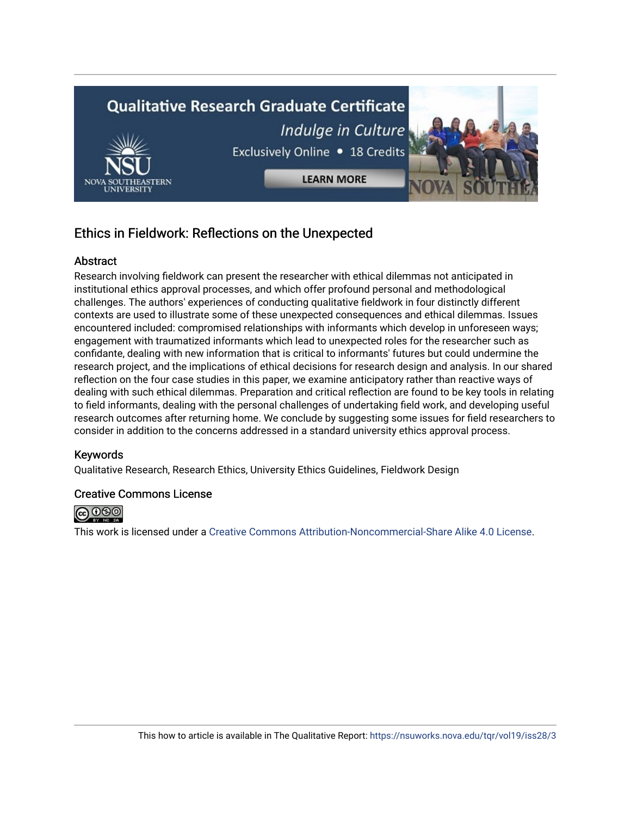

## Ethics in Fieldwork: Reflections on the Unexpected

#### Abstract

Research involving fieldwork can present the researcher with ethical dilemmas not anticipated in institutional ethics approval processes, and which offer profound personal and methodological challenges. The authors' experiences of conducting qualitative fieldwork in four distinctly different contexts are used to illustrate some of these unexpected consequences and ethical dilemmas. Issues encountered included: compromised relationships with informants which develop in unforeseen ways; engagement with traumatized informants which lead to unexpected roles for the researcher such as confidante, dealing with new information that is critical to informants' futures but could undermine the research project, and the implications of ethical decisions for research design and analysis. In our shared reflection on the four case studies in this paper, we examine anticipatory rather than reactive ways of dealing with such ethical dilemmas. Preparation and critical reflection are found to be key tools in relating to field informants, dealing with the personal challenges of undertaking field work, and developing useful research outcomes after returning home. We conclude by suggesting some issues for field researchers to consider in addition to the concerns addressed in a standard university ethics approval process.

#### Keywords

Qualitative Research, Research Ethics, University Ethics Guidelines, Fieldwork Design

#### Creative Commons License



This work is licensed under a [Creative Commons Attribution-Noncommercial-Share Alike 4.0 License](https://creativecommons.org/licenses/by-nc-sa/4.0/).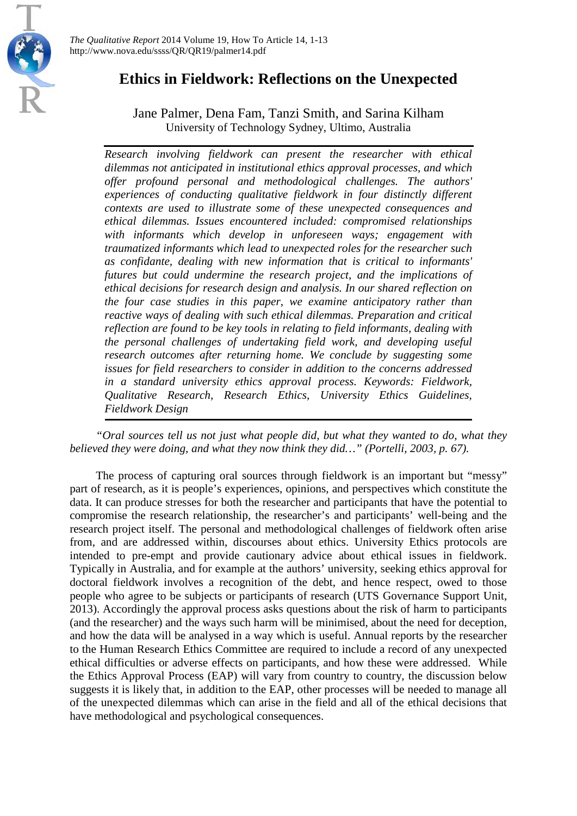

## **Ethics in Fieldwork: Reflections on the Unexpected**

### Jane Palmer, Dena Fam, Tanzi Smith, and Sarina Kilham University of Technology Sydney, Ultimo, Australia

*Research involving fieldwork can present the researcher with ethical dilemmas not anticipated in institutional ethics approval processes, and which offer profound personal and methodological challenges. The authors' experiences of conducting qualitative fieldwork in four distinctly different contexts are used to illustrate some of these unexpected consequences and ethical dilemmas. Issues encountered included: compromised relationships with informants which develop in unforeseen ways; engagement with traumatized informants which lead to unexpected roles for the researcher such as confidante, dealing with new information that is critical to informants' futures but could undermine the research project, and the implications of ethical decisions for research design and analysis. In our shared reflection on the four case studies in this paper, we examine anticipatory rather than reactive ways of dealing with such ethical dilemmas. Preparation and critical reflection are found to be key tools in relating to field informants, dealing with the personal challenges of undertaking field work, and developing useful research outcomes after returning home. We conclude by suggesting some issues for field researchers to consider in addition to the concerns addressed in a standard university ethics approval process. Keywords: Fieldwork, Qualitative Research, Research Ethics, University Ethics Guidelines, Fieldwork Design*

*"Oral sources tell us not just what people did, but what they wanted to do, what they believed they were doing, and what they now think they did…" [\(Portelli, 2003, p. 67\)](#page-13-0).* 

The process of capturing oral sources through fieldwork is an important but "messy" part of research, as it is people's experiences, opinions, and perspectives which constitute the data. It can produce stresses for both the researcher and participants that have the potential to compromise the research relationship, the researcher's and participants' well-being and the research project itself. The personal and methodological challenges of fieldwork often arise from, and are addressed within, discourses about ethics. University Ethics protocols are intended to pre-empt and provide cautionary advice about ethical issues in fieldwork. Typically in Australia, and for example at the authors' university, seeking ethics approval for doctoral fieldwork involves a recognition of the debt, and hence respect, owed to those people who agree to be subjects or participants of research [\(UTS Governance Support Unit,](#page-13-1)  [2013\)](#page-13-1). Accordingly the approval process asks questions about the risk of harm to participants (and the researcher) and the ways such harm will be minimised, about the need for deception, and how the data will be analysed in a way which is useful. Annual reports by the researcher to the Human Research Ethics Committee are required to include a record of any unexpected ethical difficulties or adverse effects on participants, and how these were addressed. While the Ethics Approval Process (EAP) will vary from country to country, the discussion below suggests it is likely that, in addition to the EAP, other processes will be needed to manage all of the unexpected dilemmas which can arise in the field and all of the ethical decisions that have methodological and psychological consequences.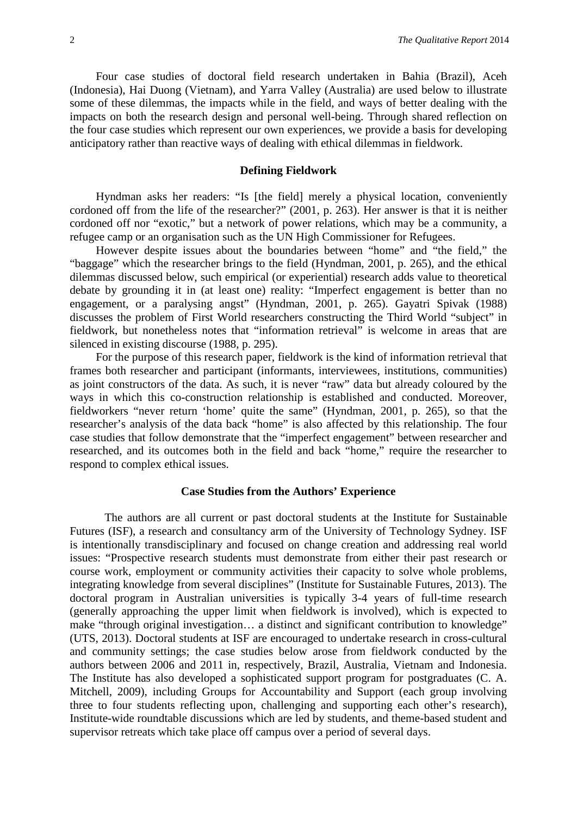Four case studies of doctoral field research undertaken in Bahia (Brazil), Aceh (Indonesia), Hai Duong (Vietnam), and Yarra Valley (Australia) are used below to illustrate some of these dilemmas, the impacts while in the field, and ways of better dealing with the impacts on both the research design and personal well-being. Through shared reflection on the four case studies which represent our own experiences, we provide a basis for developing anticipatory rather than reactive ways of dealing with ethical dilemmas in fieldwork.

#### **Defining Fieldwork**

Hyndman asks her readers: "Is [the field] merely a physical location, conveniently cordoned off from the life of the researcher?" [\(2001, p. 263\)](#page-13-2). Her answer is that it is neither cordoned off nor "exotic," but a network of power relations, which may be a community, a refugee camp or an organisation such as the UN High Commissioner for Refugees.

However despite issues about the boundaries between "home" and "the field," the "baggage" which the researcher brings to the field [\(Hyndman, 2001, p. 265\)](#page-13-2), and the ethical dilemmas discussed below, such empirical (or experiential) research adds value to theoretical debate by grounding it in (at least one) reality: "Imperfect engagement is better than no engagement, or a paralysing angst" [\(Hyndman, 2001, p. 265\)](#page-13-2). Gayatri Spivak [\(1988\)](#page-13-3) discusses the problem of First World researchers constructing the Third World "subject" in fieldwork, but nonetheless notes that "information retrieval" is welcome in areas that are silenced in existing discourse [\(1988, p. 295\)](#page-13-3).

For the purpose of this research paper, fieldwork is the kind of information retrieval that frames both researcher and participant (informants, interviewees, institutions, communities) as joint constructors of the data. As such, it is never "raw" data but already coloured by the ways in which this co-construction relationship is established and conducted. Moreover, fieldworkers "never return 'home' quite the same" [\(Hyndman, 2001, p. 265\)](#page-13-2), so that the researcher's analysis of the data back "home" is also affected by this relationship. The four case studies that follow demonstrate that the "imperfect engagement" between researcher and researched, and its outcomes both in the field and back "home," require the researcher to respond to complex ethical issues.

#### **Case Studies from the Authors' Experience**

The authors are all current or past doctoral students at the Institute for Sustainable Futures (ISF), a research and consultancy arm of the University of Technology Sydney. ISF is intentionally transdisciplinary and focused on change creation and addressing real world issues: "Prospective research students must demonstrate from either their past research or course work, employment or community activities their capacity to solve whole problems, integrating knowledge from several disciplines" [\(Institute for Sustainable Futures, 2013\)](#page-13-4). The doctoral program in Australian universities is typically 3-4 years of full-time research (generally approaching the upper limit when fieldwork is involved), which is expected to make "through original investigation… a distinct and significant contribution to knowledge" [\(UTS, 2013\)](#page-13-5). Doctoral students at ISF are encouraged to undertake research in cross-cultural and community settings; the case studies below arose from fieldwork conducted by the authors between 2006 and 2011 in, respectively, Brazil, Australia, Vietnam and Indonesia. The Institute has also developed a sophisticated support program for postgraduates [\(C. A.](#page-13-6)  [Mitchell, 2009\)](#page-13-6), including Groups for Accountability and Support (each group involving three to four students reflecting upon, challenging and supporting each other's research), Institute-wide roundtable discussions which are led by students, and theme-based student and supervisor retreats which take place off campus over a period of several days.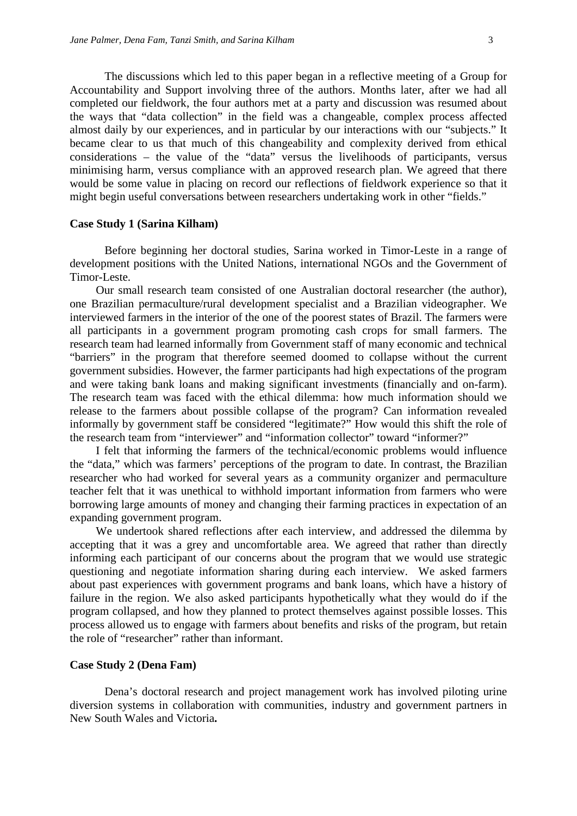The discussions which led to this paper began in a reflective meeting of a Group for Accountability and Support involving three of the authors. Months later, after we had all completed our fieldwork, the four authors met at a party and discussion was resumed about the ways that "data collection" in the field was a changeable, complex process affected almost daily by our experiences, and in particular by our interactions with our "subjects." It became clear to us that much of this changeability and complexity derived from ethical considerations – the value of the "data" versus the livelihoods of participants, versus minimising harm, versus compliance with an approved research plan. We agreed that there would be some value in placing on record our reflections of fieldwork experience so that it might begin useful conversations between researchers undertaking work in other "fields."

#### **Case Study 1 (Sarina Kilham)**

Before beginning her doctoral studies, Sarina worked in Timor-Leste in a range of development positions with the United Nations, international NGOs and the Government of Timor-Leste.

Our small research team consisted of one Australian doctoral researcher (the author), one Brazilian permaculture/rural development specialist and a Brazilian videographer. We interviewed farmers in the interior of the one of the poorest states of Brazil. The farmers were all participants in a government program promoting cash crops for small farmers. The research team had learned informally from Government staff of many economic and technical "barriers" in the program that therefore seemed doomed to collapse without the current government subsidies. However, the farmer participants had high expectations of the program and were taking bank loans and making significant investments (financially and on-farm). The research team was faced with the ethical dilemma: how much information should we release to the farmers about possible collapse of the program? Can information revealed informally by government staff be considered "legitimate?" How would this shift the role of the research team from "interviewer" and "information collector" toward "informer?"

I felt that informing the farmers of the technical/economic problems would influence the "data," which was farmers' perceptions of the program to date. In contrast, the Brazilian researcher who had worked for several years as a community organizer and permaculture teacher felt that it was unethical to withhold important information from farmers who were borrowing large amounts of money and changing their farming practices in expectation of an expanding government program.

We undertook shared reflections after each interview, and addressed the dilemma by accepting that it was a grey and uncomfortable area. We agreed that rather than directly informing each participant of our concerns about the program that we would use strategic questioning and negotiate information sharing during each interview. We asked farmers about past experiences with government programs and bank loans, which have a history of failure in the region. We also asked participants hypothetically what they would do if the program collapsed, and how they planned to protect themselves against possible losses. This process allowed us to engage with farmers about benefits and risks of the program, but retain the role of "researcher" rather than informant.

#### **Case Study 2 (Dena Fam)**

Dena's doctoral research and project management work has involved piloting urine diversion systems in collaboration with communities, industry and government partners in New South Wales and Victoria**.**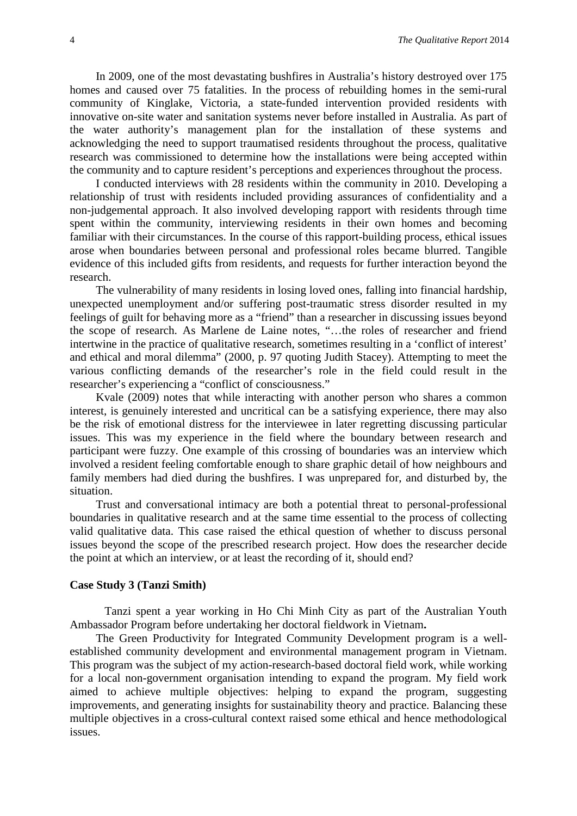In 2009, one of the most devastating bushfires in Australia's history destroyed over 175 homes and caused over 75 fatalities. In the process of rebuilding homes in the semi-rural community of Kinglake, Victoria, a state-funded intervention provided residents with innovative on-site water and sanitation systems never before installed in Australia. As part of the water authority's management plan for the installation of these systems and acknowledging the need to support traumatised residents throughout the process, qualitative research was commissioned to determine how the installations were being accepted within the community and to capture resident's perceptions and experiences throughout the process.

I conducted interviews with 28 residents within the community in 2010. Developing a relationship of trust with residents included providing assurances of confidentiality and a non-judgemental approach. It also involved developing rapport with residents through time spent within the community, interviewing residents in their own homes and becoming familiar with their circumstances. In the course of this rapport-building process, ethical issues arose when boundaries between personal and professional roles became blurred. Tangible evidence of this included gifts from residents, and requests for further interaction beyond the research.

The vulnerability of many residents in losing loved ones, falling into financial hardship, unexpected unemployment and/or suffering post-traumatic stress disorder resulted in my feelings of guilt for behaving more as a "friend" than a researcher in discussing issues beyond the scope of research. As Marlene de Laine notes, "…the roles of researcher and friend intertwine in the practice of qualitative research, sometimes resulting in a 'conflict of interest' and ethical and moral dilemma" [\(2000, p. 97 quoting Judith Stacey\)](#page-12-0). Attempting to meet the various conflicting demands of the researcher's role in the field could result in the researcher's experiencing a "conflict of consciousness."

Kvale [\(2009\)](#page-13-7) notes that while interacting with another person who shares a common interest, is genuinely interested and uncritical can be a satisfying experience, there may also be the risk of emotional distress for the interviewee in later regretting discussing particular issues. This was my experience in the field where the boundary between research and participant were fuzzy. One example of this crossing of boundaries was an interview which involved a resident feeling comfortable enough to share graphic detail of how neighbours and family members had died during the bushfires. I was unprepared for, and disturbed by, the situation.

Trust and conversational intimacy are both a potential threat to personal-professional boundaries in qualitative research and at the same time essential to the process of collecting valid qualitative data. This case raised the ethical question of whether to discuss personal issues beyond the scope of the prescribed research project. How does the researcher decide the point at which an interview, or at least the recording of it, should end?

#### **Case Study 3 (Tanzi Smith)**

Tanzi spent a year working in Ho Chi Minh City as part of the Australian Youth Ambassador Program before undertaking her doctoral fieldwork in Vietnam**.**

The Green Productivity for Integrated Community Development program is a wellestablished community development and environmental management program in Vietnam. This program was the subject of my action-research-based doctoral field work, while working for a local non-government organisation intending to expand the program. My field work aimed to achieve multiple objectives: helping to expand the program, suggesting improvements, and generating insights for sustainability theory and practice. Balancing these multiple objectives in a cross-cultural context raised some ethical and hence methodological issues.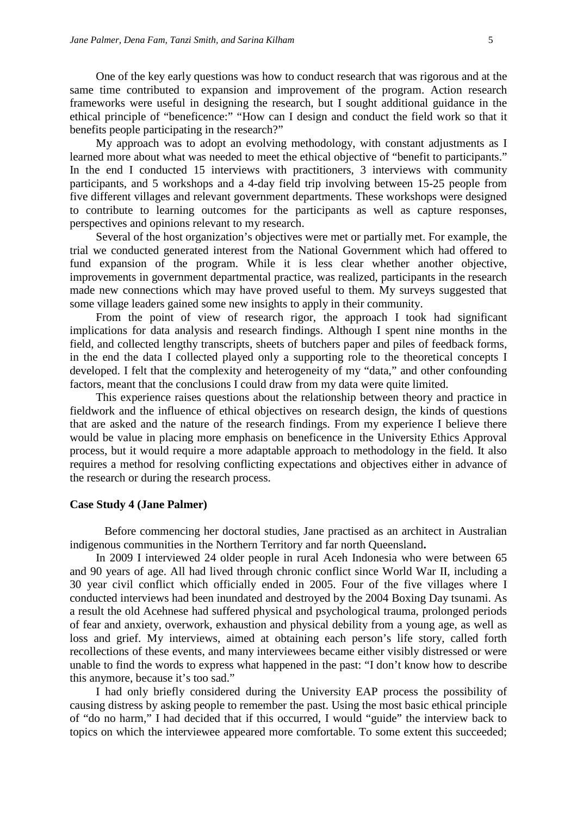One of the key early questions was how to conduct research that was rigorous and at the same time contributed to expansion and improvement of the program. Action research frameworks were useful in designing the research, but I sought additional guidance in the ethical principle of "beneficence:" "How can I design and conduct the field work so that it benefits people participating in the research?"

My approach was to adopt an evolving methodology, with constant adjustments as I learned more about what was needed to meet the ethical objective of "benefit to participants." In the end I conducted 15 interviews with practitioners, 3 interviews with community participants, and 5 workshops and a 4-day field trip involving between 15-25 people from five different villages and relevant government departments. These workshops were designed to contribute to learning outcomes for the participants as well as capture responses, perspectives and opinions relevant to my research.

Several of the host organization's objectives were met or partially met. For example, the trial we conducted generated interest from the National Government which had offered to fund expansion of the program. While it is less clear whether another objective, improvements in government departmental practice, was realized, participants in the research made new connections which may have proved useful to them. My surveys suggested that some village leaders gained some new insights to apply in their community.

From the point of view of research rigor, the approach I took had significant implications for data analysis and research findings. Although I spent nine months in the field, and collected lengthy transcripts, sheets of butchers paper and piles of feedback forms, in the end the data I collected played only a supporting role to the theoretical concepts I developed. I felt that the complexity and heterogeneity of my "data," and other confounding factors, meant that the conclusions I could draw from my data were quite limited.

This experience raises questions about the relationship between theory and practice in fieldwork and the influence of ethical objectives on research design, the kinds of questions that are asked and the nature of the research findings. From my experience I believe there would be value in placing more emphasis on beneficence in the University Ethics Approval process, but it would require a more adaptable approach to methodology in the field. It also requires a method for resolving conflicting expectations and objectives either in advance of the research or during the research process.

#### **Case Study 4 (Jane Palmer)**

Before commencing her doctoral studies, Jane practised as an architect in Australian indigenous communities in the Northern Territory and far north Queensland**.**

In 2009 I interviewed 24 older people in rural Aceh Indonesia who were between 65 and 90 years of age. All had lived through chronic conflict since World War II, including a 30 year civil conflict which officially ended in 2005. Four of the five villages where I conducted interviews had been inundated and destroyed by the 2004 Boxing Day tsunami. As a result the old Acehnese had suffered physical and psychological trauma, prolonged periods of fear and anxiety, overwork, exhaustion and physical debility from a young age, as well as loss and grief. My interviews, aimed at obtaining each person's life story, called forth recollections of these events, and many interviewees became either visibly distressed or were unable to find the words to express what happened in the past: "I don't know how to describe this anymore, because it's too sad."

I had only briefly considered during the University EAP process the possibility of causing distress by asking people to remember the past. Using the most basic ethical principle of "do no harm," I had decided that if this occurred, I would "guide" the interview back to topics on which the interviewee appeared more comfortable. To some extent this succeeded;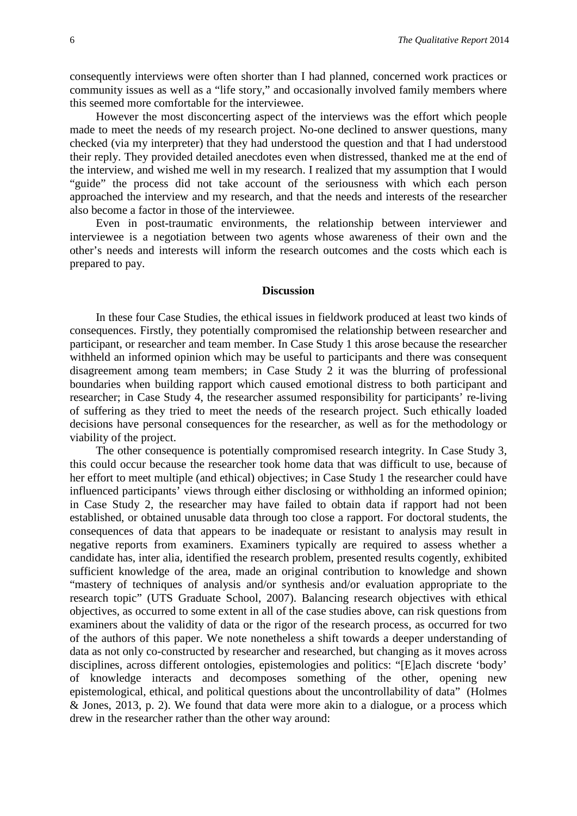consequently interviews were often shorter than I had planned, concerned work practices or community issues as well as a "life story," and occasionally involved family members where this seemed more comfortable for the interviewee.

However the most disconcerting aspect of the interviews was the effort which people made to meet the needs of my research project. No-one declined to answer questions, many checked (via my interpreter) that they had understood the question and that I had understood their reply. They provided detailed anecdotes even when distressed, thanked me at the end of the interview, and wished me well in my research. I realized that my assumption that I would "guide" the process did not take account of the seriousness with which each person approached the interview and my research, and that the needs and interests of the researcher also become a factor in those of the interviewee.

Even in post-traumatic environments, the relationship between interviewer and interviewee is a negotiation between two agents whose awareness of their own and the other's needs and interests will inform the research outcomes and the costs which each is prepared to pay.

#### **Discussion**

In these four Case Studies, the ethical issues in fieldwork produced at least two kinds of consequences. Firstly, they potentially compromised the relationship between researcher and participant, or researcher and team member. In Case Study 1 this arose because the researcher withheld an informed opinion which may be useful to participants and there was consequent disagreement among team members; in Case Study 2 it was the blurring of professional boundaries when building rapport which caused emotional distress to both participant and researcher; in Case Study 4, the researcher assumed responsibility for participants' re-living of suffering as they tried to meet the needs of the research project. Such ethically loaded decisions have personal consequences for the researcher, as well as for the methodology or viability of the project.

The other consequence is potentially compromised research integrity. In Case Study 3, this could occur because the researcher took home data that was difficult to use, because of her effort to meet multiple (and ethical) objectives; in Case Study 1 the researcher could have influenced participants' views through either disclosing or withholding an informed opinion; in Case Study 2, the researcher may have failed to obtain data if rapport had not been established, or obtained unusable data through too close a rapport. For doctoral students, the consequences of data that appears to be inadequate or resistant to analysis may result in negative reports from examiners. Examiners typically are required to assess whether a candidate has, inter alia, identified the research problem, presented results cogently, exhibited sufficient knowledge of the area, made an original contribution to knowledge and shown "mastery of techniques of analysis and/or synthesis and/or evaluation appropriate to the research topic" [\(UTS Graduate School, 2007\)](#page-13-8). Balancing research objectives with ethical objectives, as occurred to some extent in all of the case studies above, can risk questions from examiners about the validity of data or the rigor of the research process, as occurred for two of the authors of this paper. We note nonetheless a shift towards a deeper understanding of data as not only co-constructed by researcher and researched, but changing as it moves across disciplines, across different ontologies, epistemologies and politics: "[E]ach discrete 'body' of knowledge interacts and decomposes something of the other, opening new epistemological, ethical, and political questions about the uncontrollability of data" [\(Holmes](#page-13-9)  [& Jones, 2013, p. 2\)](#page-13-9). We found that data were more akin to a dialogue, or a process which drew in the researcher rather than the other way around: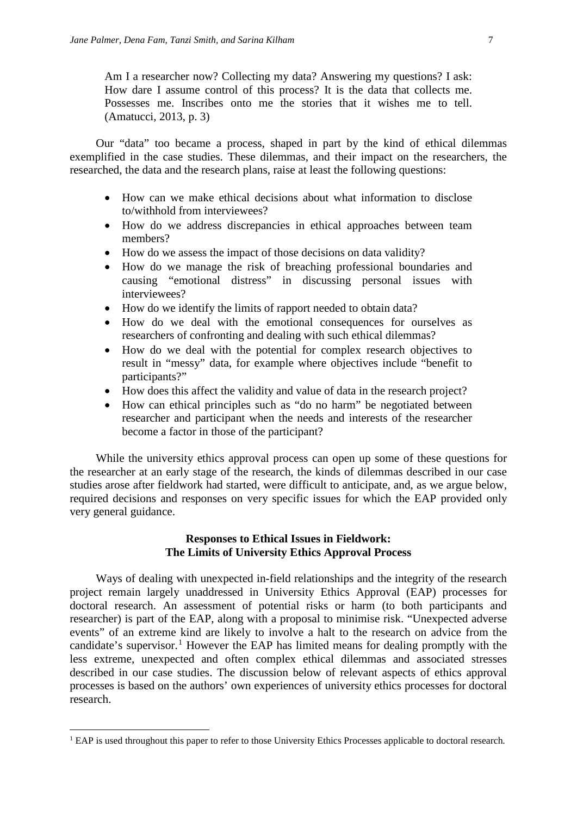Am I a researcher now? Collecting my data? Answering my questions? I ask: How dare I assume control of this process? It is the data that collects me. Possesses me. Inscribes onto me the stories that it wishes me to tell. [\(Amatucci, 2013, p. 3\)](#page-12-1)

Our "data" too became a process, shaped in part by the kind of ethical dilemmas exemplified in the case studies. These dilemmas, and their impact on the researchers, the researched, the data and the research plans, raise at least the following questions:

- How can we make ethical decisions about what information to disclose to/withhold from interviewees?
- How do we address discrepancies in ethical approaches between team members?
- How do we assess the impact of those decisions on data validity?
- How do we manage the risk of breaching professional boundaries and causing "emotional distress" in discussing personal issues with interviewees?
- How do we identify the limits of rapport needed to obtain data?
- How do we deal with the emotional consequences for ourselves as researchers of confronting and dealing with such ethical dilemmas?
- How do we deal with the potential for complex research objectives to result in "messy" data, for example where objectives include "benefit to participants?"
- How does this affect the validity and value of data in the research project?
- How can ethical principles such as "do no harm" be negotiated between researcher and participant when the needs and interests of the researcher become a factor in those of the participant?

While the university ethics approval process can open up some of these questions for the researcher at an early stage of the research, the kinds of dilemmas described in our case studies arose after fieldwork had started, were difficult to anticipate, and, as we argue below, required decisions and responses on very specific issues for which the EAP provided only very general guidance.

#### **Responses to Ethical Issues in Fieldwork: The Limits of University Ethics Approval Process**

Ways of dealing with unexpected in-field relationships and the integrity of the research project remain largely unaddressed in University Ethics Approval (EAP) processes for doctoral research. An assessment of potential risks or harm (to both participants and researcher) is part of the EAP, along with a proposal to minimise risk. "Unexpected adverse events" of an extreme kind are likely to involve a halt to the research on advice from the candidate's supervisor.<sup>[1](#page-8-0)</sup> However the EAP has limited means for dealing promptly with the less extreme, unexpected and often complex ethical dilemmas and associated stresses described in our case studies. The discussion below of relevant aspects of ethics approval processes is based on the authors' own experiences of university ethics processes for doctoral research.

**.** 

<span id="page-8-0"></span><sup>&</sup>lt;sup>1</sup> EAP is used throughout this paper to refer to those University Ethics Processes applicable to doctoral research.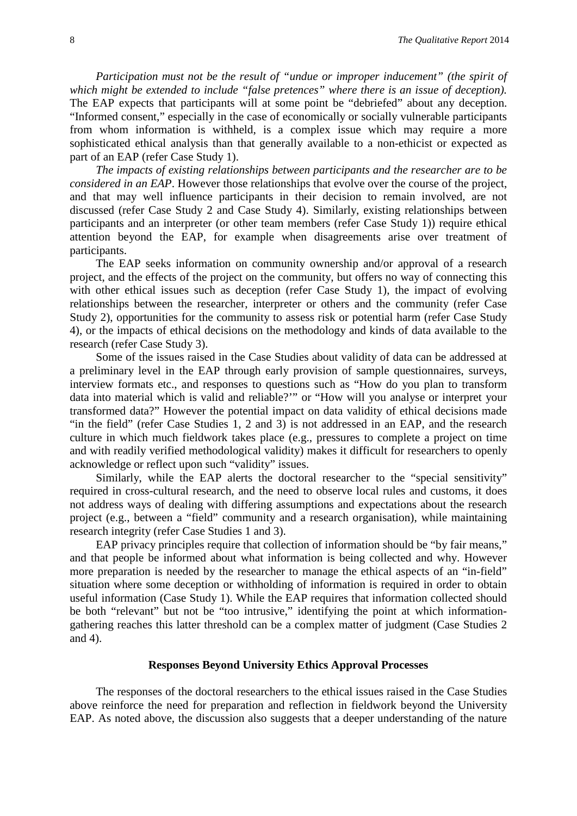*Participation must not be the result of "undue or improper inducement" (the spirit of which might be extended to include "false pretences" where there is an issue of deception).* The EAP expects that participants will at some point be "debriefed" about any deception. "Informed consent," especially in the case of economically or socially vulnerable participants from whom information is withheld, is a complex issue which may require a more sophisticated ethical analysis than that generally available to a non-ethicist or expected as part of an EAP (refer Case Study 1).

*The impacts of existing relationships between participants and the researcher are to be considered in an EAP*. However those relationships that evolve over the course of the project, and that may well influence participants in their decision to remain involved, are not discussed (refer Case Study 2 and Case Study 4). Similarly, existing relationships between participants and an interpreter (or other team members (refer Case Study 1)) require ethical attention beyond the EAP, for example when disagreements arise over treatment of participants.

The EAP seeks information on community ownership and/or approval of a research project, and the effects of the project on the community, but offers no way of connecting this with other ethical issues such as deception (refer Case Study 1), the impact of evolving relationships between the researcher, interpreter or others and the community (refer Case Study 2), opportunities for the community to assess risk or potential harm (refer Case Study 4), or the impacts of ethical decisions on the methodology and kinds of data available to the research (refer Case Study 3).

Some of the issues raised in the Case Studies about validity of data can be addressed at a preliminary level in the EAP through early provision of sample questionnaires, surveys, interview formats etc., and responses to questions such as "How do you plan to transform data into material which is valid and reliable?'" or "How will you analyse or interpret your transformed data?" However the potential impact on data validity of ethical decisions made "in the field" (refer Case Studies 1, 2 and 3) is not addressed in an EAP, and the research culture in which much fieldwork takes place (e.g., pressures to complete a project on time and with readily verified methodological validity) makes it difficult for researchers to openly acknowledge or reflect upon such "validity" issues.

Similarly, while the EAP alerts the doctoral researcher to the "special sensitivity" required in cross-cultural research, and the need to observe local rules and customs, it does not address ways of dealing with differing assumptions and expectations about the research project (e.g., between a "field" community and a research organisation), while maintaining research integrity (refer Case Studies 1 and 3).

EAP privacy principles require that collection of information should be "by fair means," and that people be informed about what information is being collected and why. However more preparation is needed by the researcher to manage the ethical aspects of an "in-field" situation where some deception or withholding of information is required in order to obtain useful information (Case Study 1). While the EAP requires that information collected should be both "relevant" but not be "too intrusive," identifying the point at which informationgathering reaches this latter threshold can be a complex matter of judgment (Case Studies 2 and 4).

#### **Responses Beyond University Ethics Approval Processes**

The responses of the doctoral researchers to the ethical issues raised in the Case Studies above reinforce the need for preparation and reflection in fieldwork beyond the University EAP. As noted above, the discussion also suggests that a deeper understanding of the nature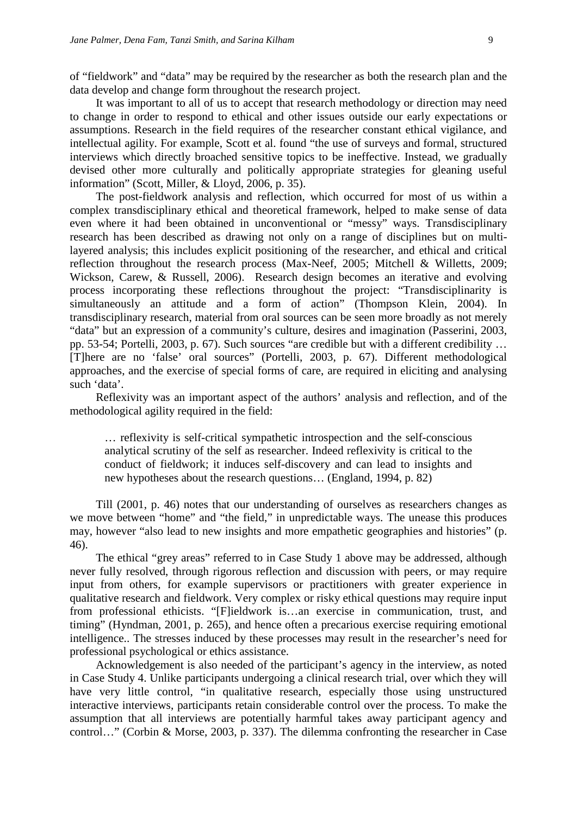of "fieldwork" and "data" may be required by the researcher as both the research plan and the data develop and change form throughout the research project.

It was important to all of us to accept that research methodology or direction may need to change in order to respond to ethical and other issues outside our early expectations or assumptions. Research in the field requires of the researcher constant ethical vigilance, and intellectual agility. For example, Scott et al. found "the use of surveys and formal, structured interviews which directly broached sensitive topics to be ineffective. Instead, we gradually devised other more culturally and politically appropriate strategies for gleaning useful information" [\(Scott, Miller, & Lloyd, 2006, p. 35\)](#page-13-10).

The post-fieldwork analysis and reflection, which occurred for most of us within a complex transdisciplinary ethical and theoretical framework, helped to make sense of data even where it had been obtained in unconventional or "messy" ways. Transdisciplinary research has been described as drawing not only on a range of disciplines but on multilayered analysis; this includes explicit positioning of the researcher, and ethical and critical reflection throughout the research process [\(Max-Neef, 2005;](#page-13-11) [Mitchell & Willetts, 2009;](#page-13-6) [Wickson, Carew, & Russell, 2006\)](#page-13-12). Research design becomes an iterative and evolving process incorporating these reflections throughout the project: "Transdisciplinarity is simultaneously an attitude and a form of action" [\(Thompson Klein, 2004\)](#page-13-13). In transdisciplinary research, material from oral sources can be seen more broadly as not merely "data" but an expression of a community's culture, desires and imagination [\(Passerini, 2003,](#page-13-14)  [pp. 53-54;](#page-13-14) [Portelli, 2003, p. 67\)](#page-13-0). Such sources "are credible but with a different credibility … [T]here are no 'false' oral sources" [\(Portelli, 2003, p. 67\)](#page-13-0). Different methodological approaches, and the exercise of special forms of care, are required in eliciting and analysing such 'data'.

Reflexivity was an important aspect of the authors' analysis and reflection, and of the methodological agility required in the field:

… reflexivity is self-critical sympathetic introspection and the self-conscious analytical scrutiny of the self as researcher. Indeed reflexivity is critical to the conduct of fieldwork; it induces self-discovery and can lead to insights and new hypotheses about the research questions… [\(England, 1994, p. 82\)](#page-13-15)

Till [\(2001, p. 46\)](#page-13-16) notes that our understanding of ourselves as researchers changes as we move between "home" and "the field," in unpredictable ways. The unease this produces may, however "also lead to new insights and more empathetic geographies and histories" (p. 46).

The ethical "grey areas" referred to in Case Study 1 above may be addressed, although never fully resolved, through rigorous reflection and discussion with peers, or may require input from others, for example supervisors or practitioners with greater experience in qualitative research and fieldwork. Very complex or risky ethical questions may require input from professional ethicists. "[F]ieldwork is…an exercise in communication, trust, and timing" [\(Hyndman, 2001, p. 265\)](#page-13-2), and hence often a precarious exercise requiring emotional intelligence.. The stresses induced by these processes may result in the researcher's need for professional psychological or ethics assistance.

Acknowledgement is also needed of the participant's agency in the interview, as noted in Case Study 4. Unlike participants undergoing a clinical research trial, over which they will have very little control, "in qualitative research, especially those using unstructured interactive interviews, participants retain considerable control over the process. To make the assumption that all interviews are potentially harmful takes away participant agency and control…" [\(Corbin & Morse, 2003, p. 337\)](#page-12-2). The dilemma confronting the researcher in Case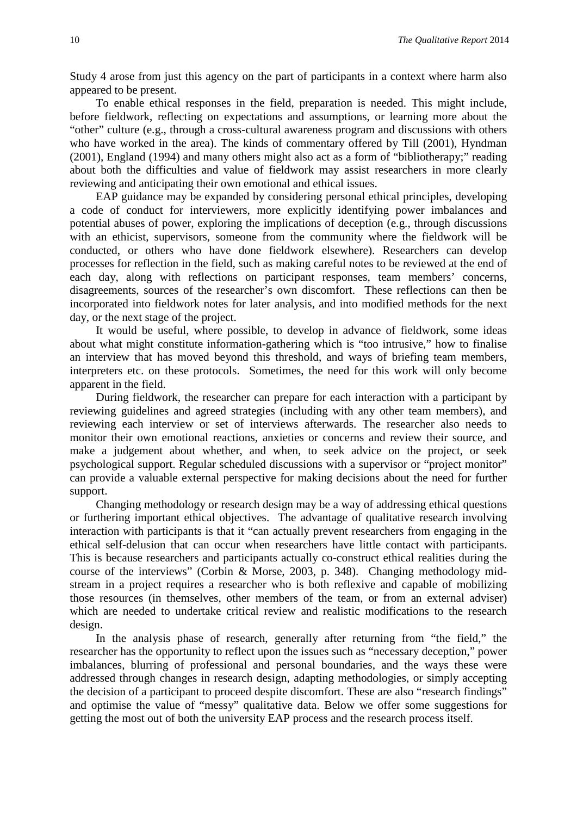Study 4 arose from just this agency on the part of participants in a context where harm also appeared to be present.

To enable ethical responses in the field, preparation is needed. This might include, before fieldwork, reflecting on expectations and assumptions, or learning more about the "other" culture (e.g., through a cross-cultural awareness program and discussions with others who have worked in the area). The kinds of commentary offered by Till [\(2001\)](#page-13-16), Hyndman [\(2001\)](#page-13-2), England [\(1994\)](#page-13-15) and many others might also act as a form of "bibliotherapy;" reading about both the difficulties and value of fieldwork may assist researchers in more clearly reviewing and anticipating their own emotional and ethical issues.

EAP guidance may be expanded by considering personal ethical principles, developing a code of conduct for interviewers, more explicitly identifying power imbalances and potential abuses of power, exploring the implications of deception (e.g., through discussions with an ethicist, supervisors, someone from the community where the fieldwork will be conducted, or others who have done fieldwork elsewhere). Researchers can develop processes for reflection in the field, such as making careful notes to be reviewed at the end of each day, along with reflections on participant responses, team members' concerns, disagreements, sources of the researcher's own discomfort. These reflections can then be incorporated into fieldwork notes for later analysis, and into modified methods for the next day, or the next stage of the project.

It would be useful, where possible, to develop in advance of fieldwork, some ideas about what might constitute information-gathering which is "too intrusive," how to finalise an interview that has moved beyond this threshold, and ways of briefing team members, interpreters etc. on these protocols. Sometimes, the need for this work will only become apparent in the field.

During fieldwork, the researcher can prepare for each interaction with a participant by reviewing guidelines and agreed strategies (including with any other team members), and reviewing each interview or set of interviews afterwards. The researcher also needs to monitor their own emotional reactions, anxieties or concerns and review their source, and make a judgement about whether, and when, to seek advice on the project, or seek psychological support. Regular scheduled discussions with a supervisor or "project monitor" can provide a valuable external perspective for making decisions about the need for further support.

Changing methodology or research design may be a way of addressing ethical questions or furthering important ethical objectives. The advantage of qualitative research involving interaction with participants is that it "can actually prevent researchers from engaging in the ethical self-delusion that can occur when researchers have little contact with participants. This is because researchers and participants actually co-construct ethical realities during the course of the interviews" [\(Corbin & Morse, 2003, p. 348\)](#page-12-2). Changing methodology midstream in a project requires a researcher who is both reflexive and capable of mobilizing those resources (in themselves, other members of the team, or from an external adviser) which are needed to undertake critical review and realistic modifications to the research design.

In the analysis phase of research, generally after returning from "the field," the researcher has the opportunity to reflect upon the issues such as "necessary deception," power imbalances, blurring of professional and personal boundaries, and the ways these were addressed through changes in research design, adapting methodologies, or simply accepting the decision of a participant to proceed despite discomfort. These are also "research findings" and optimise the value of "messy" qualitative data. Below we offer some suggestions for getting the most out of both the university EAP process and the research process itself.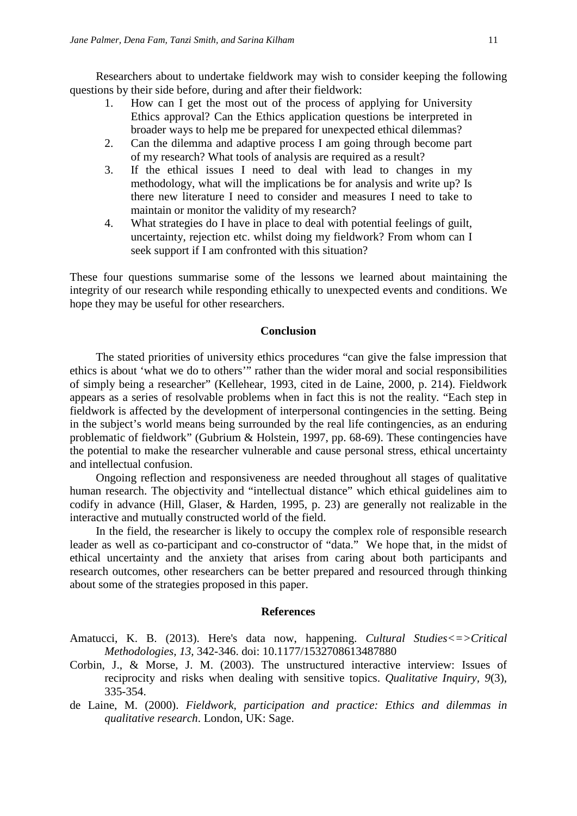Researchers about to undertake fieldwork may wish to consider keeping the following questions by their side before, during and after their fieldwork:

- 1. How can I get the most out of the process of applying for University Ethics approval? Can the Ethics application questions be interpreted in broader ways to help me be prepared for unexpected ethical dilemmas?
- 2. Can the dilemma and adaptive process I am going through become part of my research? What tools of analysis are required as a result?
- 3. If the ethical issues I need to deal with lead to changes in my methodology, what will the implications be for analysis and write up? Is there new literature I need to consider and measures I need to take to maintain or monitor the validity of my research?
- 4. What strategies do I have in place to deal with potential feelings of guilt, uncertainty, rejection etc. whilst doing my fieldwork? From whom can I seek support if I am confronted with this situation?

These four questions summarise some of the lessons we learned about maintaining the integrity of our research while responding ethically to unexpected events and conditions. We hope they may be useful for other researchers.

#### **Conclusion**

The stated priorities of university ethics procedures "can give the false impression that ethics is about 'what we do to others'" rather than the wider moral and social responsibilities of simply being a researcher" [\(Kellehear, 1993, cited in de Laine, 2000, p. 214\)](#page-12-0). Fieldwork appears as a series of resolvable problems when in fact this is not the reality. "Each step in fieldwork is affected by the development of interpersonal contingencies in the setting. Being in the subject's world means being surrounded by the real life contingencies, as an enduring problematic of fieldwork" [\(Gubrium & Holstein, 1997, pp. 68-69\)](#page-13-17). These contingencies have the potential to make the researcher vulnerable and cause personal stress, ethical uncertainty and intellectual confusion.

Ongoing reflection and responsiveness are needed throughout all stages of qualitative human research. The objectivity and "intellectual distance" which ethical guidelines aim to codify in advance (Hill, Glaser, [& Harden, 1995, p. 23\)](#page-13-18) are generally not realizable in the interactive and mutually constructed world of the field.

In the field, the researcher is likely to occupy the complex role of responsible research leader as well as co-participant and co-constructor of "data." We hope that, in the midst of ethical uncertainty and the anxiety that arises from caring about both participants and research outcomes, other researchers can be better prepared and resourced through thinking about some of the strategies proposed in this paper.

#### **References**

- <span id="page-12-1"></span>Amatucci, K. B. (2013). Here's data now, happening. *Cultural Studies<=>Critical Methodologies, 13,* 342-346. doi: 10.1177/1532708613487880
- <span id="page-12-2"></span>Corbin, J., & Morse, J. M. (2003). The unstructured interactive interview: Issues of reciprocity and risks when dealing with sensitive topics. *Qualitative Inquiry, 9*(3), 335-354.
- <span id="page-12-0"></span>de Laine, M. (2000). *Fieldwork, participation and practice: Ethics and dilemmas in qualitative research*. London, UK: Sage.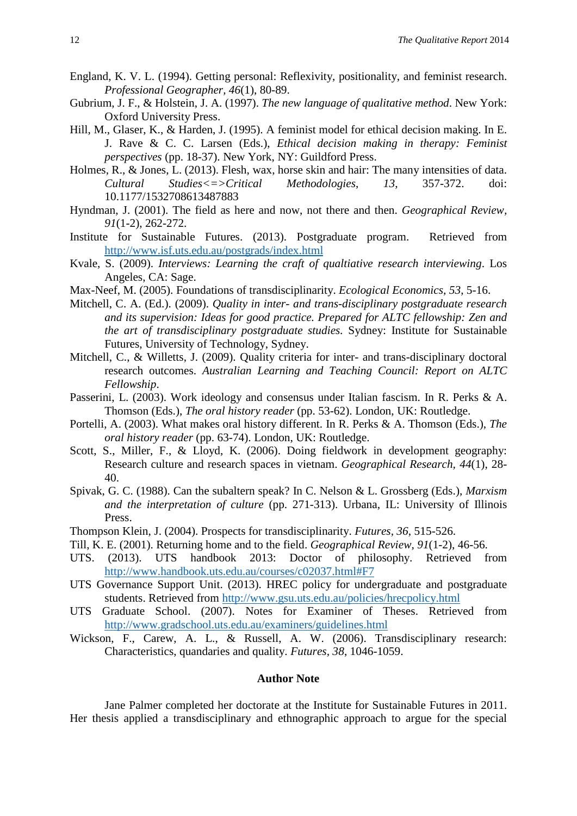- <span id="page-13-15"></span>England, K. V. L. (1994). Getting personal: Reflexivity, positionality, and feminist research. *Professional Geographer, 46*(1), 80-89.
- <span id="page-13-17"></span>Gubrium, J. F., & Holstein, J. A. (1997). *The new language of qualitative method*. New York: Oxford University Press.
- <span id="page-13-18"></span>Hill, M., Glaser, K., & Harden, J. (1995). A feminist model for ethical decision making. In E. J. Rave & C. C. Larsen (Eds.), *Ethical decision making in therapy: Feminist perspectives* (pp. 18-37). New York, NY: Guildford Press.
- <span id="page-13-9"></span>Holmes, R., & Jones, L. (2013). Flesh, wax, horse skin and hair: The many intensities of data. *Cultural Studies<=>Critical Methodologies*, *13*, 357-372. doi: 10.1177/1532708613487883
- <span id="page-13-2"></span>Hyndman, J. (2001). The field as here and now, not there and then. *Geographical Review, 91*(1-2), 262-272.
- <span id="page-13-4"></span>Institute for Sustainable Futures. (2013). Postgraduate program. Retrieved from <http://www.isf.uts.edu.au/postgrads/index.html>
- <span id="page-13-7"></span>Kvale, S. (2009). *Interviews: Learning the craft of qualtiative research interviewing*. Los Angeles, CA: Sage.
- <span id="page-13-11"></span>Max-Neef, M. (2005). Foundations of transdisciplinarity. *Ecological Economics, 53*, 5-16.
- <span id="page-13-6"></span>Mitchell, C. A. (Ed.). (2009). *Quality in inter- and trans-disciplinary postgraduate research and its supervision: Ideas for good practice. Prepared for ALTC fellowship: Zen and the art of transdisciplinary postgraduate studies.* Sydney: Institute for Sustainable Futures, University of Technology, Sydney.
- Mitchell, C., & Willetts, J. (2009). Quality criteria for inter- and trans-disciplinary doctoral research outcomes. *Australian Learning and Teaching Council: Report on ALTC Fellowship*.
- <span id="page-13-14"></span>Passerini, L. (2003). Work ideology and consensus under Italian fascism. In R. Perks & A. Thomson (Eds.), *The oral history reader* (pp. 53-62). London, UK: Routledge.
- <span id="page-13-0"></span>Portelli, A. (2003). What makes oral history different. In R. Perks & A. Thomson (Eds.), *The oral history reader* (pp. 63-74). London, UK: Routledge.
- <span id="page-13-10"></span>Scott, S., Miller, F., & Lloyd, K. (2006). Doing fieldwork in development geography: Research culture and research spaces in vietnam. *Geographical Research, 44*(1), 28- 40.
- <span id="page-13-3"></span>Spivak, G. C. (1988). Can the subaltern speak? In C. Nelson & L. Grossberg (Eds.), *Marxism and the interpretation of culture* (pp. 271-313). Urbana, IL: University of Illinois Press.
- <span id="page-13-13"></span>Thompson Klein, J. (2004). Prospects for transdisciplinarity. *Futures, 36*, 515-526.
- <span id="page-13-16"></span>Till, K. E. (2001). Returning home and to the field. *Geographical Review, 91*(1-2), 46-56.
- <span id="page-13-5"></span>UTS. (2013). UTS handbook 2013: Doctor of philosophy. Retrieved from [http://www.handbook.uts.edu.au/courses/c02037.html#F7](http://www.handbook.uts.edu.au/courses/c02037.html%23F7)
- <span id="page-13-1"></span>UTS Governance Support Unit. (2013). HREC policy for undergraduate and postgraduate students. Retrieved from<http://www.gsu.uts.edu.au/policies/hrecpolicy.html>
- <span id="page-13-8"></span>UTS Graduate School. (2007). Notes for Examiner of Theses. Retrieved from <http://www.gradschool.uts.edu.au/examiners/guidelines.html>
- <span id="page-13-12"></span>Wickson, F., Carew, A. L., & Russell, A. W. (2006). Transdisciplinary research: Characteristics, quandaries and quality. *Futures, 38*, 1046-1059.

#### **Author Note**

Jane Palmer completed her doctorate at the Institute for Sustainable Futures in 2011. Her thesis applied a transdisciplinary and ethnographic approach to argue for the special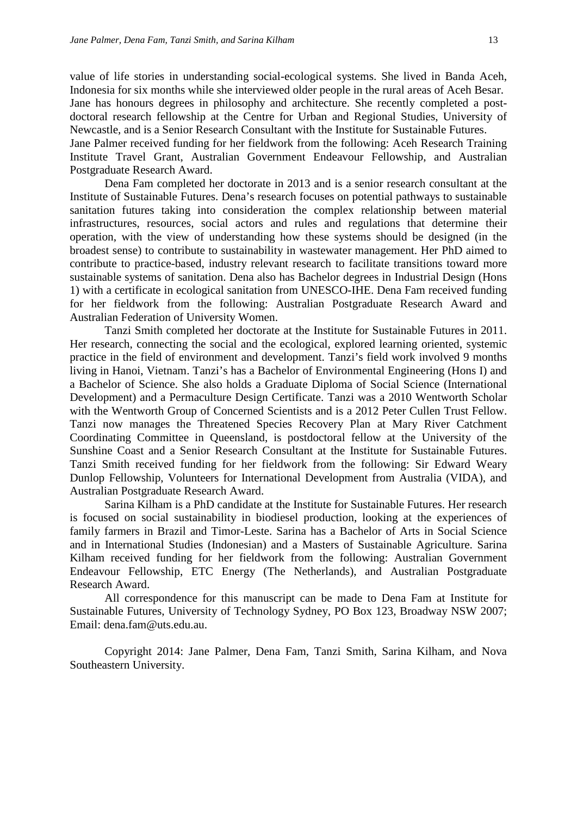value of life stories in understanding social-ecological systems. She lived in Banda Aceh, Indonesia for six months while she interviewed older people in the rural areas of Aceh Besar. Jane has honours degrees in philosophy and architecture. She recently completed a postdoctoral research fellowship at the Centre for Urban and Regional Studies, University of Newcastle, and is a Senior Research Consultant with the Institute for Sustainable Futures. Jane Palmer received funding for her fieldwork from the following: Aceh Research Training Institute Travel Grant, Australian Government Endeavour Fellowship, and Australian Postgraduate Research Award.

Dena Fam completed her doctorate in 2013 and is a senior research consultant at the Institute of Sustainable Futures. Dena's research focuses on potential pathways to sustainable sanitation futures taking into consideration the complex relationship between material infrastructures, resources, social actors and rules and regulations that determine their operation, with the view of understanding how these systems should be designed (in the broadest sense) to contribute to sustainability in wastewater management. Her PhD aimed to contribute to practice-based, industry relevant research to facilitate transitions toward more sustainable systems of sanitation. Dena also has Bachelor degrees in Industrial Design (Hons 1) with a certificate in ecological sanitation from UNESCO-IHE. Dena Fam received funding for her fieldwork from the following: Australian Postgraduate Research Award and Australian Federation of University Women.

Tanzi Smith completed her doctorate at the Institute for Sustainable Futures in 2011. Her research, connecting the social and the ecological, explored learning oriented, systemic practice in the field of environment and development. Tanzi's field work involved 9 months living in Hanoi, Vietnam. Tanzi's has a Bachelor of Environmental Engineering (Hons I) and a Bachelor of Science. She also holds a Graduate Diploma of Social Science (International Development) and a Permaculture Design Certificate. Tanzi was a 2010 Wentworth Scholar with the Wentworth Group of Concerned Scientists and is a 2012 Peter Cullen Trust Fellow. Tanzi now manages the Threatened Species Recovery Plan at Mary River Catchment Coordinating Committee in Queensland, is postdoctoral fellow at the University of the Sunshine Coast and a Senior Research Consultant at the Institute for Sustainable Futures. Tanzi Smith received funding for her fieldwork from the following: Sir Edward Weary Dunlop Fellowship, Volunteers for International Development from Australia (VIDA), and Australian Postgraduate Research Award.

Sarina Kilham is a PhD candidate at the Institute for Sustainable Futures. Her research is focused on social sustainability in biodiesel production, looking at the experiences of family farmers in Brazil and Timor-Leste. Sarina has a Bachelor of Arts in Social Science and in International Studies (Indonesian) and a Masters of Sustainable Agriculture. Sarina Kilham received funding for her fieldwork from the following: Australian Government Endeavour Fellowship, ETC Energy (The Netherlands), and Australian Postgraduate Research Award.

All correspondence for this manuscript can be made to Dena Fam at Institute for Sustainable Futures, University of Technology Sydney, PO Box 123, Broadway NSW 2007; Email: dena.fam@uts.edu.au.

Copyright 2014: Jane Palmer, Dena Fam, Tanzi Smith, Sarina Kilham, and Nova Southeastern University.